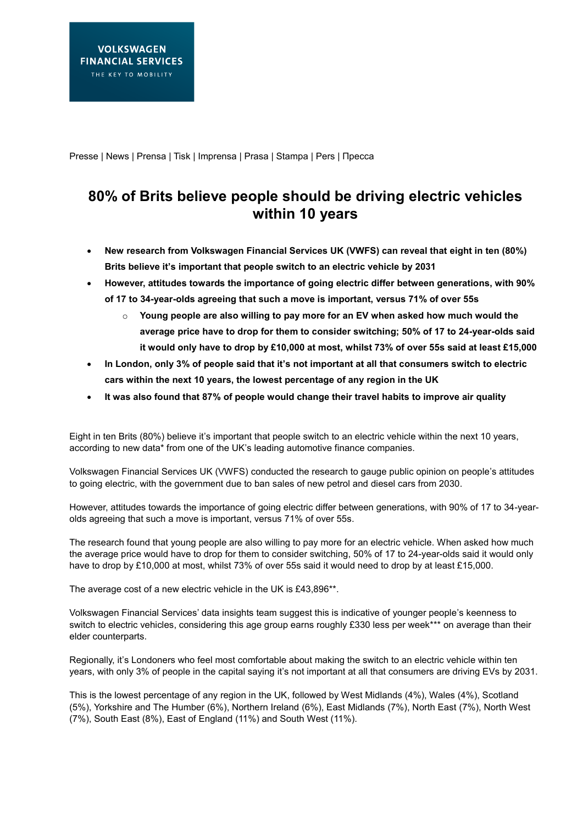Presse | News | Prensa | Tisk | Imprensa | Prasa | Stampa | Pers | Пресса

## **80% of Brits believe people should be driving electric vehicles within 10 years**

- **New research from Volkswagen Financial Services UK (VWFS) can reveal that eight in ten (80%) Brits believe it's important that people switch to an electric vehicle by 2031**
- **However, attitudes towards the importance of going electric differ between generations, with 90% of 17 to 34-year-olds agreeing that such a move is important, versus 71% of over 55s**
	- o **Young people are also willing to pay more for an EV when asked how much would the average price have to drop for them to consider switching; 50% of 17 to 24-year-olds said it would only have to drop by £10,000 at most, whilst 73% of over 55s said at least £15,000**
- **In London, only 3% of people said that it's not important at all that consumers switch to electric cars within the next 10 years, the lowest percentage of any region in the UK**
- **It was also found that 87% of people would change their travel habits to improve air quality**

Eight in ten Brits (80%) believe it's important that people switch to an electric vehicle within the next 10 years, according to new data\* from one of the UK's leading automotive finance companies.

Volkswagen Financial Services UK (VWFS) conducted the research to gauge public opinion on people's attitudes to going electric, with the government due to ban sales of new petrol and diesel cars from 2030.

However, attitudes towards the importance of going electric differ between generations, with 90% of 17 to 34-yearolds agreeing that such a move is important, versus 71% of over 55s.

The research found that young people are also willing to pay more for an electric vehicle. When asked how much the average price would have to drop for them to consider switching, 50% of 17 to 24-year-olds said it would only have to drop by £10,000 at most, whilst 73% of over 55s said it would need to drop by at least £15,000.

The average cost of a new electric vehicle in the UK is £43,896\*\*.

Volkswagen Financial Services' data insights team suggest this is indicative of younger people's keenness to switch to electric vehicles, considering this age group earns roughly £330 less per week\*\*\* on average than their elder counterparts.

Regionally, it's Londoners who feel most comfortable about making the switch to an electric vehicle within ten years, with only 3% of people in the capital saying it's not important at all that consumers are driving EVs by 2031.

This is the lowest percentage of any region in the UK, followed by West Midlands (4%), Wales (4%), Scotland (5%), Yorkshire and The Humber (6%), Northern Ireland (6%), East Midlands (7%), North East (7%), North West (7%), South East (8%), East of England (11%) and South West (11%).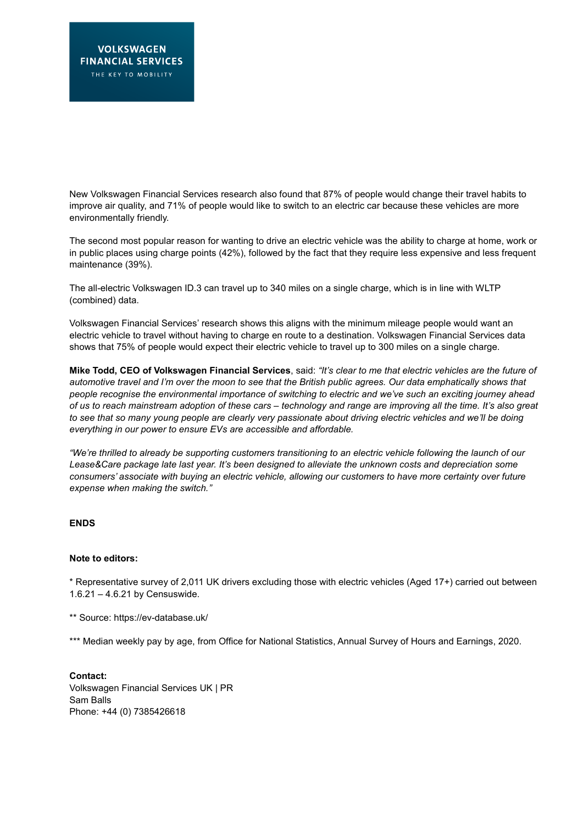New Volkswagen Financial Services research also found that 87% of people would change their travel habits to improve air quality, and 71% of people would like to switch to an electric car because these vehicles are more environmentally friendly.

The second most popular reason for wanting to drive an electric vehicle was the ability to charge at home, work or in public places using charge points (42%), followed by the fact that they require less expensive and less frequent maintenance (39%).

The all-electric Volkswagen ID.3 can travel up to 340 miles on a single charge, which is in line with WLTP (combined) data.

Volkswagen Financial Services' research shows this aligns with the minimum mileage people would want an electric vehicle to travel without having to charge en route to a destination. Volkswagen Financial Services data shows that 75% of people would expect their electric vehicle to travel up to 300 miles on a single charge.

**Mike Todd, CEO of Volkswagen Financial Services**, said: *"It's clear to me that electric vehicles are the future of automotive travel and I'm over the moon to see that the British public agrees. Our data emphatically shows that people recognise the environmental importance of switching to electric and we've such an exciting journey ahead of us to reach mainstream adoption of these cars – technology and range are improving all the time. It's also great to see that so many young people are clearly very passionate about driving electric vehicles and we'll be doing everything in our power to ensure EVs are accessible and affordable.* 

*"We're thrilled to already be supporting customers transitioning to an electric vehicle following the launch of our Lease&Care package late last year. It's been designed to alleviate the unknown costs and depreciation some consumers' associate with buying an electric vehicle, allowing our customers to have more certainty over future expense when making the switch."*

## **ENDS**

## **Note to editors:**

\* Representative survey of 2,011 UK drivers excluding those with electric vehicles (Aged 17+) carried out between 1.6.21 – 4.6.21 by Censuswide.

\*\* Source: <https://ev-database.uk/>

\*\*\* Median weekly pay by age, from Office for National Statistics, Annual Survey of Hours and Earnings, 2020.

**Contact:**  Volkswagen Financial Services UK | PR Sam Balls Phone: +44 (0) 7385426618